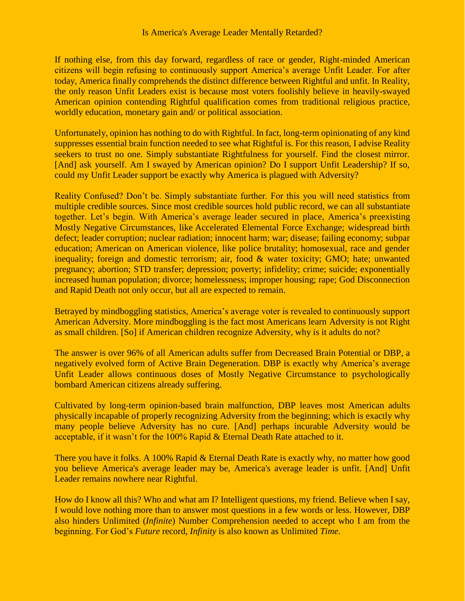If nothing else, from this day forward, regardless of race or gender, Right-minded American citizens will begin refusing to continuously support America's average Unfit Leader. For after today, America finally comprehends the distinct difference between Rightful and unfit. In Reality, the only reason Unfit Leaders exist is because most voters foolishly believe in heavily-swayed American opinion contending Rightful qualification comes from traditional religious practice, worldly education, monetary gain and/ or political association.

Unfortunately, opinion has nothing to do with Rightful. In fact, long-term opinionating of any kind suppresses essential brain function needed to see what Rightful is. For this reason, I advise Reality seekers to trust no one. Simply substantiate Rightfulness for yourself. Find the closest mirror. [And] ask yourself. Am I swayed by American opinion? Do I support Unfit Leadership? If so, could my Unfit Leader support be exactly why America is plagued with Adversity?

Reality Confused? Don't be. Simply substantiate further. For this you will need statistics from multiple credible sources. Since most credible sources hold public record, we can all substantiate together. Let's begin. With America's average leader secured in place, America's preexisting Mostly Negative Circumstances, like Accelerated Elemental Force Exchange; widespread birth defect; leader corruption; nuclear radiation; innocent harm; war; disease; failing economy; subpar education; American on American violence, like police brutality; homosexual, race and gender inequality; foreign and domestic terrorism; air, food & water toxicity; GMO; hate; unwanted pregnancy; abortion; STD transfer; depression; poverty; infidelity; crime; suicide; exponentially increased human population; divorce; homelessness; improper housing; rape; God Disconnection and Rapid Death not only occur, but all are expected to remain.

Betrayed by mindboggling statistics, America's average voter is revealed to continuously support American Adversity. More mindboggling is the fact most Americans learn Adversity is not Right as small children. [So] if American children recognize Adversity, why is it adults do not?

The answer is over 96% of all American adults suffer from Decreased Brain Potential or DBP, a negatively evolved form of Active Brain Degeneration. DBP is exactly why America's average Unfit Leader allows continuous doses of Mostly Negative Circumstance to psychologically bombard American citizens already suffering.

Cultivated by long-term opinion-based brain malfunction, DBP leaves most American adults physically incapable of properly recognizing Adversity from the beginning; which is exactly why many people believe Adversity has no cure. [And] perhaps incurable Adversity would be acceptable, if it wasn't for the 100% Rapid & Eternal Death Rate attached to it.

There you have it folks. A 100% Rapid & Eternal Death Rate is exactly why, no matter how good you believe America's average leader may be, America's average leader is unfit. [And] Unfit Leader remains nowhere near Rightful.

How do I know all this? Who and what am I? Intelligent questions, my friend. Believe when I say, I would love nothing more than to answer most questions in a few words or less. However, DBP also hinders Unlimited (*Infinite*) Number Comprehension needed to accept who I am from the beginning. For God's *Future* record, *Infinity* is also known as Unlimited *Time*.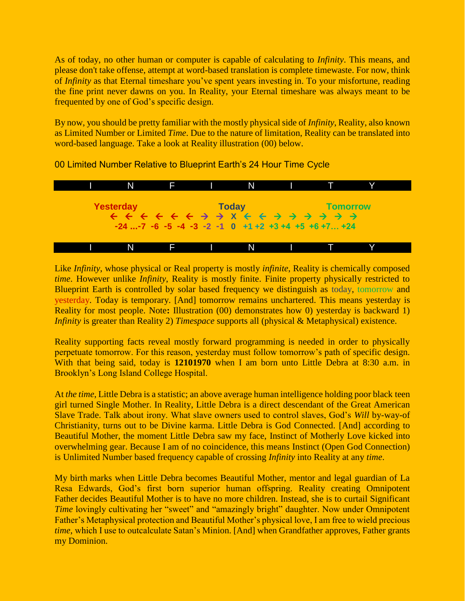As of today, no other human or computer is capable of calculating to *Infinity*. This means, and please don't take offense, attempt at word-based translation is complete timewaste. For now, think of *Infinity* as that Eternal timeshare you've spent years investing in. To your misfortune, reading the fine print never dawns on you. In Reality, your Eternal timeshare was always meant to be frequented by one of God's specific design.

By now, you should be pretty familiar with the mostly physical side of *Infinity*, Reality, also known as Limited Number or Limited *Time*. Due to the nature of limitation, Reality can be translated into word-based language. Take a look at Reality illustration (00) below.



00 Limited Number Relative to Blueprint Earth's 24 Hour Time Cycle

Like *Infinity*, whose physical or Real property is mostly *infinite*, Reality is chemically composed *time*. However unlike *Infinity*, Reality is mostly finite. Finite property physically restricted to Blueprint Earth is controlled by solar based frequency we distinguish as today, tomorrow and yesterday. Today is temporary. [And] tomorrow remains unchartered. This means yesterday is Reality for most people. Note**:** Illustration (00) demonstrates how 0) yesterday is backward 1) *Infinity* is greater than Reality 2) *Timespace* supports all (physical & Metaphysical) existence.

Reality supporting facts reveal mostly forward programming is needed in order to physically perpetuate tomorrow. For this reason, yesterday must follow tomorrow's path of specific design. With that being said, today is **12101970** when I am born unto Little Debra at 8:30 a.m. in Brooklyn's Long Island College Hospital.

At *the time*, Little Debra is a statistic; an above average human intelligence holding poor black teen girl turned Single Mother. In Reality, Little Debra is a direct descendant of the Great American Slave Trade. Talk about irony. What slave owners used to control slaves, God's *Will* by-way-of Christianity, turns out to be Divine karma. Little Debra is God Connected. [And] according to Beautiful Mother, the moment Little Debra saw my face, Instinct of Motherly Love kicked into overwhelming gear. Because I am of no coincidence, this means Instinct (Open God Connection) is Unlimited Number based frequency capable of crossing *Infinity* into Reality at any *time*.

My birth marks when Little Debra becomes Beautiful Mother, mentor and legal guardian of La Resa Edwards, God's first born superior human offspring. Reality creating Omnipotent Father decides Beautiful Mother is to have no more children. Instead, she is to curtail Significant *Time* lovingly cultivating her "sweet" and "amazingly bright" daughter. Now under Omnipotent Father's Metaphysical protection and Beautiful Mother's physical love, I am free to wield precious *time*, which I use to outcalculate Satan's Minion. [And] when Grandfather approves, Father grants my Dominion.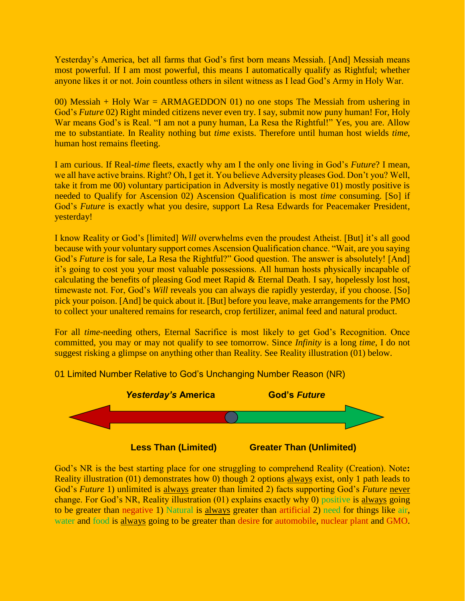Yesterday's America, bet all farms that God's first born means Messiah. [And] Messiah means most powerful. If I am most powerful, this means I automatically qualify as Rightful; whether anyone likes it or not. Join countless others in silent witness as I lead God's Army in Holy War.

00) Messiah + Holy War = ARMAGEDDON 01) no one stops The Messiah from ushering in God's *Future* 02) Right minded citizens never even try. I say, submit now puny human! For, Holy War means God's is Real. "I am not a puny human, La Resa the Rightful!" Yes, you are. Allow me to substantiate. In Reality nothing but *time* exists. Therefore until human host wields *time*, human host remains fleeting.

I am curious. If Real-*time* fleets, exactly why am I the only one living in God's *Future*? I mean, we all have active brains. Right? Oh, I get it. You believe Adversity pleases God. Don't you? Well, take it from me 00) voluntary participation in Adversity is mostly negative 01) mostly positive is needed to Qualify for Ascension 02) Ascension Qualification is most *time* consuming. [So] if God's *Future* is exactly what you desire, support La Resa Edwards for Peacemaker President, yesterday!

I know Reality or God's [limited] *Will* overwhelms even the proudest Atheist. [But] it's all good because with your voluntary support comes Ascension Qualification chance. "Wait, are you saying God's *Future* is for sale, La Resa the Rightful?" Good question. The answer is absolutely! [And] it's going to cost you your most valuable possessions. All human hosts physically incapable of calculating the benefits of pleasing God meet Rapid & Eternal Death. I say, hopelessly lost host, timewaste not. For, God's *Will* reveals you can always die rapidly yesterday, if you choose. [So] pick your poison. [And] be quick about it. [But] before you leave, make arrangements for the PMO to collect your unaltered remains for research, crop fertilizer, animal feed and natural product.

For all *time*-needing others, Eternal Sacrifice is most likely to get God's Recognition. Once committed, you may or may not qualify to see tomorrow. Since *Infinity* is a long *time*, I do not suggest risking a glimpse on anything other than Reality. See Reality illustration (01) below.



01 Limited Number Relative to God's Unchanging Number Reason (NR)

God's NR is the best starting place for one struggling to comprehend Reality (Creation). Note**:** Reality illustration (01) demonstrates how 0) though 2 options always exist, only 1 path leads to God's *Future* 1) unlimited is always greater than limited 2) facts supporting God's *Future* never change. For God's NR, Reality illustration (01) explains exactly why 0) positive is always going to be greater than negative 1) Natural is always greater than artificial 2) need for things like air, water and food is always going to be greater than desire for automobile, nuclear plant and GMO.